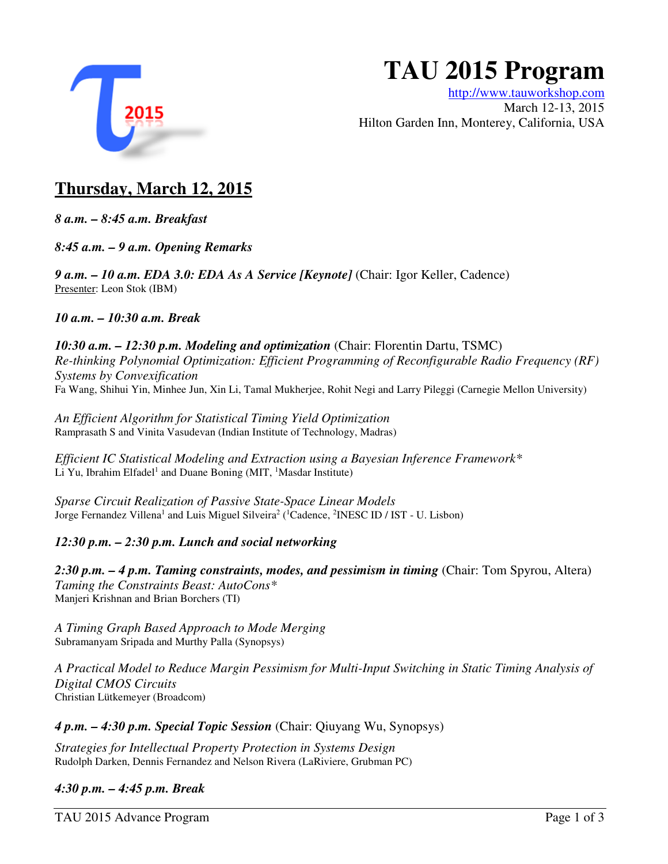

# **TAU 2015 Program**

http://www.tauworkshop.com March 12-13, 2015 Hilton Garden Inn, Monterey, California, USA

## **Thursday, March 12, 2015**

*8 a.m. – 8:45 a.m. Breakfast* 

*8:45 a.m. – 9 a.m. Opening Remarks* 

*9 a.m. – 10 a.m. EDA 3.0: EDA As A Service [Keynote]* (Chair: Igor Keller, Cadence) Presenter: Leon Stok (IBM)

*10 a.m. – 10:30 a.m. Break*

*10:30 a.m. – 12:30 p.m. Modeling and optimization* (Chair: Florentin Dartu, TSMC) *Re-thinking Polynomial Optimization: Efficient Programming of Reconfigurable Radio Frequency (RF) Systems by Convexification*  Fa Wang, Shihui Yin, Minhee Jun, Xin Li, Tamal Mukherjee, Rohit Negi and Larry Pileggi (Carnegie Mellon University)

*An Efficient Algorithm for Statistical Timing Yield Optimization*  Ramprasath S and Vinita Vasudevan (Indian Institute of Technology, Madras)

*Efficient IC Statistical Modeling and Extraction using a Bayesian Inference Framework\** Li Yu, Ibrahim Elfadel<sup>1</sup> and Duane Boning (MIT, <sup>1</sup>Masdar Institute)

*Sparse Circuit Realization of Passive State-Space Linear Models*  Jorge Fernandez Villena<sup>1</sup> and Luis Miguel Silveira<sup>2</sup> (<sup>1</sup>Cadence, <sup>2</sup>INESC ID / IST - U. Lisbon)

#### *12:30 p.m. – 2:30 p.m. Lunch and social networking*

2:30 p.m. – 4 p.m. Taming constraints, modes, and pessimism in timing (Chair: Tom Spyrou, Altera) *Taming the Constraints Beast: AutoCons\**  Manjeri Krishnan and Brian Borchers (TI)

*A Timing Graph Based Approach to Mode Merging*  Subramanyam Sripada and Murthy Palla (Synopsys)

*A Practical Model to Reduce Margin Pessimism for Multi-Input Switching in Static Timing Analysis of Digital CMOS Circuits*  Christian Lütkemeyer (Broadcom)

*4 p.m. – 4:30 p.m. Special Topic Session* (Chair: Qiuyang Wu, Synopsys)

*Strategies for Intellectual Property Protection in Systems Design*  Rudolph Darken, Dennis Fernandez and Nelson Rivera (LaRiviere, Grubman PC)

*4:30 p.m. – 4:45 p.m. Break* 

TAU 2015 Advance Program **Page 1** of 3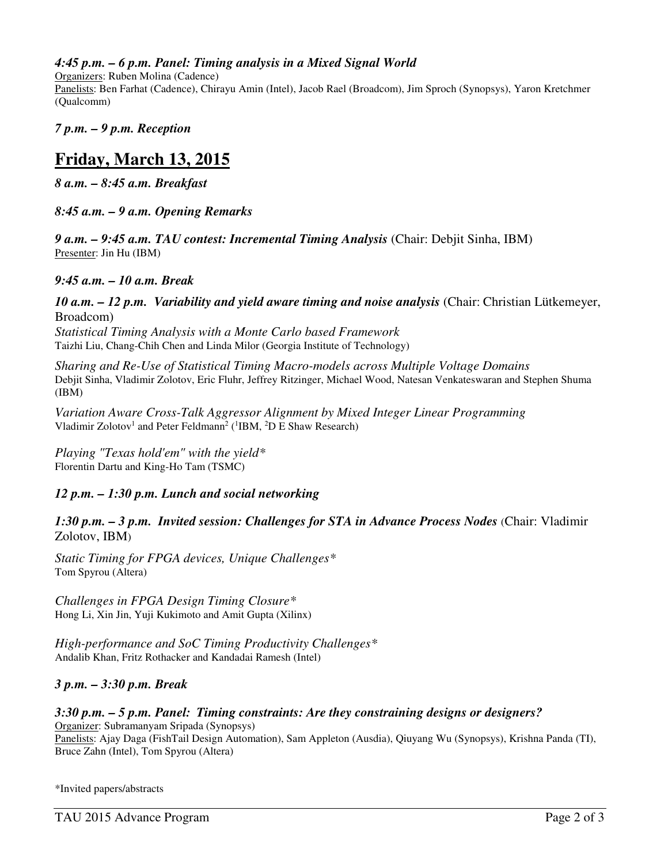#### *4:45 p.m. – 6 p.m. Panel: Timing analysis in a Mixed Signal World*

Organizers: Ruben Molina (Cadence)

Panelists: Ben Farhat (Cadence), Chirayu Amin (Intel), Jacob Rael (Broadcom), Jim Sproch (Synopsys), Yaron Kretchmer (Qualcomm)

*7 p.m. – 9 p.m. Reception* 

## **Friday, March 13, 2015**

*8 a.m. – 8:45 a.m. Breakfast*

*8:45 a.m. – 9 a.m. Opening Remarks* 

*9 a.m. – 9:45 a.m. TAU contest: Incremental Timing Analysis* (Chair: Debjit Sinha, IBM) Presenter: Jin Hu (IBM)

*9:45 a.m. – 10 a.m. Break* 

#### *10 a.m. – 12 p.m. Variability and yield aware timing and noise analysis* (Chair: Christian Lütkemeyer, Broadcom)

*Statistical Timing Analysis with a Monte Carlo based Framework*  Taizhi Liu, Chang-Chih Chen and Linda Milor (Georgia Institute of Technology)

*Sharing and Re-Use of Statistical Timing Macro-models across Multiple Voltage Domains*  Debjit Sinha, Vladimir Zolotov, Eric Fluhr, Jeffrey Ritzinger, Michael Wood, Natesan Venkateswaran and Stephen Shuma (IBM)

*Variation Aware Cross-Talk Aggressor Alignment by Mixed Integer Linear Programming*  Vladimir Zolotov<sup>1</sup> and Peter Feldmann<sup>2</sup> (<sup>1</sup>IBM, <sup>2</sup>D E Shaw Research)

*Playing "Texas hold'em" with the yield\**  Florentin Dartu and King-Ho Tam (TSMC)

#### *12 p.m. – 1:30 p.m. Lunch and social networking*

1:30 p.m. – 3 p.m. Invited session: Challenges for STA in Advance Process Nodes (Chair: Vladimir Zolotov, IBM)

*Static Timing for FPGA devices, Unique Challenges\**  Tom Spyrou (Altera)

*Challenges in FPGA Design Timing Closure\**  Hong Li, Xin Jin, Yuji Kukimoto and Amit Gupta (Xilinx)

*High-performance and SoC Timing Productivity Challenges\** Andalib Khan, Fritz Rothacker and Kandadai Ramesh (Intel)

*3 p.m. – 3:30 p.m. Break* 

*3:30 p.m. – 5 p.m. Panel: Timing constraints: Are they constraining designs or designers?* Organizer: Subramanyam Sripada (Synopsys)

Panelists: Ajay Daga (FishTail Design Automation), Sam Appleton (Ausdia), Qiuyang Wu (Synopsys), Krishna Panda (TI), Bruce Zahn (Intel), Tom Spyrou (Altera)

\*Invited papers/abstracts